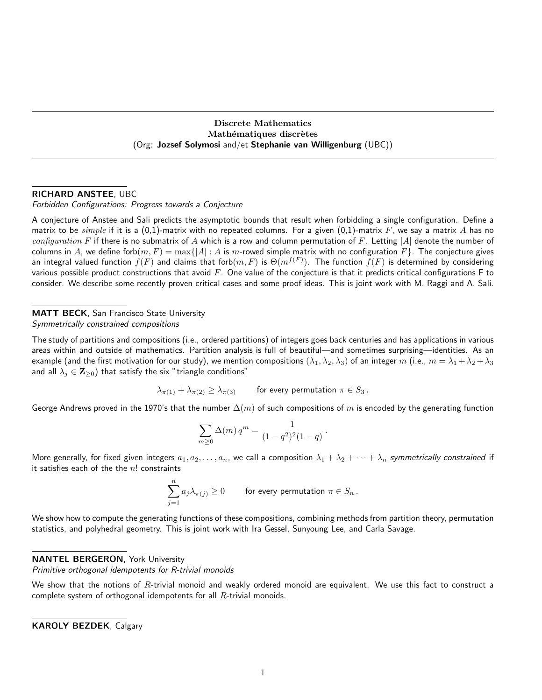Discrete Mathematics Mathématiques discrètes (Org: Jozsef Solymosi and/et Stephanie van Willigenburg (UBC))

# RICHARD ANSTEE, UBC

Forbidden Configurations: Progress towards a Conjecture

A conjecture of Anstee and Sali predicts the asymptotic bounds that result when forbidding a single configuration. Define a matrix to be *simple* if it is a (0,1)-matrix with no repeated columns. For a given (0,1)-matrix F, we say a matrix A has no configuration F if there is no submatrix of A which is a row and column permutation of F. Letting |A| denote the number of columns in A, we define forb $(m, F) = \max\{|A| : A$  is m-rowed simple matrix with no configuration  $F\}$ . The conjecture gives an integral valued function  $f(F)$  and claims that forb $(m,F)$  is  $\Theta(m^{f(F)}).$  The function  $f(F)$  is determined by considering various possible product constructions that avoid  $F$ . One value of the conjecture is that it predicts critical configurations  $F$  to consider. We describe some recently proven critical cases and some proof ideas. This is joint work with M. Raggi and A. Sali.

#### MATT BECK, San Francisco State University

Symmetrically constrained compositions

The study of partitions and compositions (i.e., ordered partitions) of integers goes back centuries and has applications in various areas within and outside of mathematics. Partition analysis is full of beautiful—and sometimes surprising—identities. As an example (and the first motivation for our study), we mention compositions  $(\lambda_1, \lambda_2, \lambda_3)$  of an integer m (i.e.,  $m = \lambda_1 + \lambda_2 + \lambda_3$ and all  $\lambda_j \in \mathbf{Z}_{\geq 0}$ ) that satisfy the six "triangle conditions"

 $\lambda_{\pi(1)} + \lambda_{\pi(2)} \ge \lambda_{\pi(3)}$  for every permutation  $\pi \in S_3$ .

George Andrews proved in the 1970's that the number  $\Delta(m)$  of such compositions of m is encoded by the generating function

$$
\sum_{m\geq 0} \Delta(m) q^m = \frac{1}{(1-q^2)^2(1-q)}.
$$

More generally, for fixed given integers  $a_1, a_2, \ldots, a_n$ , we call a composition  $\lambda_1 + \lambda_2 + \cdots + \lambda_n$  symmetrically constrained if it satisfies each of the the  $n!$  constraints

$$
\sum_{j=1}^n a_j \lambda_{\pi(j)} \geq 0 \qquad \text{ for every permutation } \pi \in S_n \, .
$$

We show how to compute the generating functions of these compositions, combining methods from partition theory, permutation statistics, and polyhedral geometry. This is joint work with Ira Gessel, Sunyoung Lee, and Carla Savage.

#### NANTEL BERGERON, York University

Primitive orthogonal idempotents for R-trivial monoids

We show that the notions of  $R$ -trivial monoid and weakly ordered monoid are equivalent. We use this fact to construct a complete system of orthogonal idempotents for all  $R$ -trivial monoids.

KAROLY BEZDEK, Calgary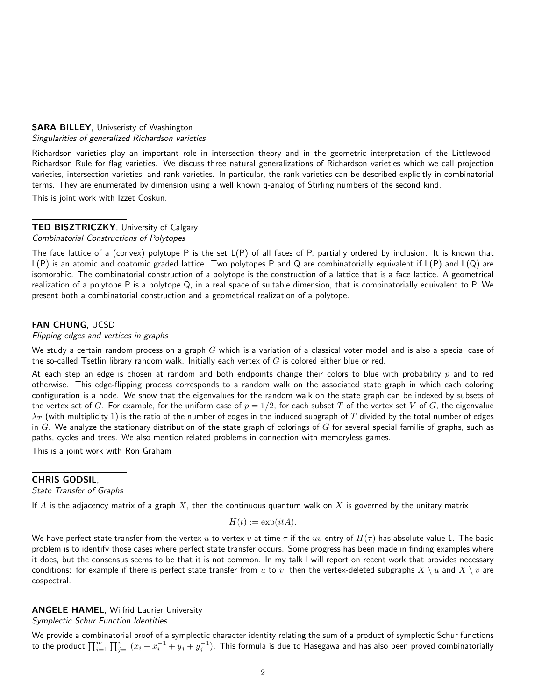### **SARA BILLEY, Univseristy of Washington** Singularities of generalized Richardson varieties

Richardson varieties play an important role in intersection theory and in the geometric interpretation of the Littlewood-Richardson Rule for flag varieties. We discuss three natural generalizations of Richardson varieties which we call projection varieties, intersection varieties, and rank varieties. In particular, the rank varieties can be described explicitly in combinatorial terms. They are enumerated by dimension using a well known q-analog of Stirling numbers of the second kind.

This is joint work with Izzet Coskun.

# TED BISZTRICZKY, University of Calgary

# Combinatorial Constructions of Polytopes

The face lattice of a (convex) polytope P is the set L(P) of all faces of P, partially ordered by inclusion. It is known that  $L(P)$  is an atomic and coatomic graded lattice. Two polytopes P and Q are combinatorially equivalent if  $L(P)$  and  $L(Q)$  are isomorphic. The combinatorial construction of a polytope is the construction of a lattice that is a face lattice. A geometrical realization of a polytope P is a polytope Q, in a real space of suitable dimension, that is combinatorially equivalent to P. We present both a combinatorial construction and a geometrical realization of a polytope.

# FAN CHUNG, UCSD

Flipping edges and vertices in graphs

We study a certain random process on a graph  $G$  which is a variation of a classical voter model and is also a special case of the so-called Tsetlin library random walk. Initially each vertex of  $G$  is colored either blue or red.

At each step an edge is chosen at random and both endpoints change their colors to blue with probability  $p$  and to red otherwise. This edge-flipping process corresponds to a random walk on the associated state graph in which each coloring configuration is a node. We show that the eigenvalues for the random walk on the state graph can be indexed by subsets of the vertex set of G. For example, for the uniform case of  $p = 1/2$ , for each subset T of the vertex set V of G, the eigenvalue  $\lambda_T$  (with multiplicity 1) is the ratio of the number of edges in the induced subgraph of T divided by the total number of edges in G. We analyze the stationary distribution of the state graph of colorings of G for several special familie of graphs, such as paths, cycles and trees. We also mention related problems in connection with memoryless games.

This is a joint work with Ron Graham

# CHRIS GODSIL,

State Transfer of Graphs

If A is the adjacency matrix of a graph X, then the continuous quantum walk on X is governed by the unitary matrix

$$
H(t) := \exp(itA).
$$

We have perfect state transfer from the vertex u to vertex v at time  $\tau$  if the uv-entry of  $H(\tau)$  has absolute value 1. The basic problem is to identify those cases where perfect state transfer occurs. Some progress has been made in finding examples where it does, but the consensus seems to be that it is not common. In my talk I will report on recent work that provides necessary conditions: for example if there is perfect state transfer from u to v, then the vertex-deleted subgraphs  $X \setminus u$  and  $X \setminus v$  are cospectral.

We provide a combinatorial proof of a symplectic character identity relating the sum of a product of symplectic Schur functions to the product  $\prod_{i=1}^m\prod_{j=1}^n(x_i+x_i^{-1}+y_j+y_j^{-1})$ . This formula is due to Hasegawa and has also been proved combinatorially

ANGELE HAMEL, Wilfrid Laurier University

Symplectic Schur Function Identities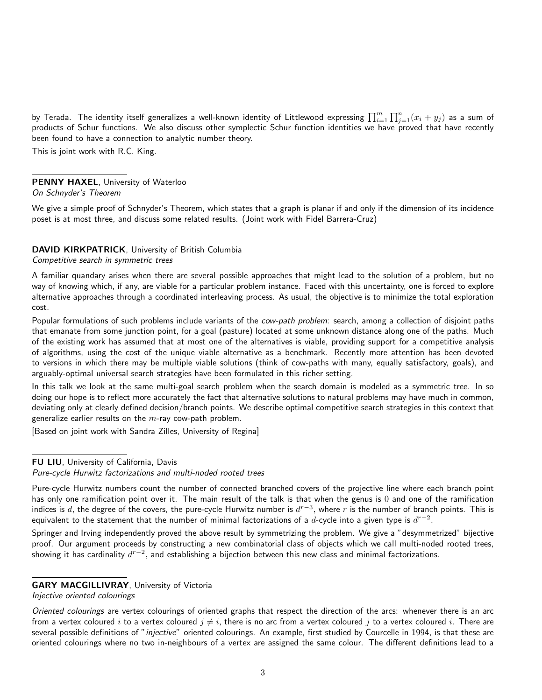by Terada. The identity itself generalizes a well-known identity of Littlewood expressing  $\prod_{i=1}^m\prod_{j=1}^n(x_i+y_j)$  as a sum of products of Schur functions. We also discuss other symplectic Schur function identities we have proved that have recently been found to have a connection to analytic number theory.

This is joint work with R.C. King.

### PENNY HAXEL, University of Waterloo

On Schnyder's Theorem

We give a simple proof of Schnyder's Theorem, which states that a graph is planar if and only if the dimension of its incidence poset is at most three, and discuss some related results. (Joint work with Fidel Barrera-Cruz)

#### DAVID KIRKPATRICK, University of British Columbia

#### Competitive search in symmetric trees

A familiar quandary arises when there are several possible approaches that might lead to the solution of a problem, but no way of knowing which, if any, are viable for a particular problem instance. Faced with this uncertainty, one is forced to explore alternative approaches through a coordinated interleaving process. As usual, the objective is to minimize the total exploration cost.

Popular formulations of such problems include variants of the cow-path problem: search, among a collection of disjoint paths that emanate from some junction point, for a goal (pasture) located at some unknown distance along one of the paths. Much of the existing work has assumed that at most one of the alternatives is viable, providing support for a competitive analysis of algorithms, using the cost of the unique viable alternative as a benchmark. Recently more attention has been devoted to versions in which there may be multiple viable solutions (think of cow-paths with many, equally satisfactory, goals), and arguably-optimal universal search strategies have been formulated in this richer setting.

In this talk we look at the same multi-goal search problem when the search domain is modeled as a symmetric tree. In so doing our hope is to reflect more accurately the fact that alternative solutions to natural problems may have much in common, deviating only at clearly defined decision/branch points. We describe optimal competitive search strategies in this context that generalize earlier results on the  $m$ -ray cow-path problem.

[Based on joint work with Sandra Zilles, University of Regina]

#### FU LIU, University of California, Davis

Springer and Irving independently proved the above result by symmetrizing the problem. We give a "desymmetrized" bijective proof. Our argument proceeds by constructing a new combinatorial class of objects which we call multi-noded rooted trees, showing it has cardinality  $d^{r-2}$ , and establishing a bijection between this new class and minimal factorizations.

# GARY MACGILLIVRAY, University of Victoria

Injective oriented colourings

Oriented colourings are vertex colourings of oriented graphs that respect the direction of the arcs: whenever there is an arc from a vertex coloured i to a vertex coloured  $j \neq i$ , there is no arc from a vertex coloured j to a vertex coloured i. There are several possible definitions of "injective" oriented colourings. An example, first studied by Courcelle in 1994, is that these are oriented colourings where no two in-neighbours of a vertex are assigned the same colour. The different definitions lead to a

Pure-cycle Hurwitz factorizations and multi-noded rooted trees

Pure-cycle Hurwitz numbers count the number of connected branched covers of the projective line where each branch point has only one ramification point over it. The main result of the talk is that when the genus is 0 and one of the ramification indices is  $d$ , the degree of the covers, the pure-cycle Hurwitz number is  $d^{r-3}$ , where  $r$  is the number of branch points. This is equivalent to the statement that the number of minimal factorizations of a  $d$ -cycle into a given type is  $d^{r-2}.$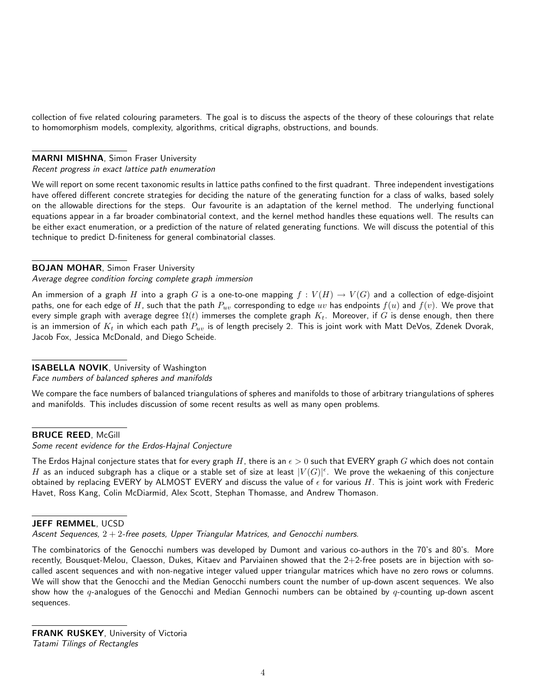collection of five related colouring parameters. The goal is to discuss the aspects of the theory of these colourings that relate to homomorphism models, complexity, algorithms, critical digraphs, obstructions, and bounds.

### MARNI MISHNA, Simon Fraser University

Recent progress in exact lattice path enumeration

We will report on some recent taxonomic results in lattice paths confined to the first quadrant. Three independent investigations have offered different concrete strategies for deciding the nature of the generating function for a class of walks, based solely on the allowable directions for the steps. Our favourite is an adaptation of the kernel method. The underlying functional equations appear in a far broader combinatorial context, and the kernel method handles these equations well. The results can be either exact enumeration, or a prediction of the nature of related generating functions. We will discuss the potential of this technique to predict D-finiteness for general combinatorial classes.

# BOJAN MOHAR, Simon Fraser University

Average degree condition forcing complete graph immersion

An immersion of a graph H into a graph G is a one-to-one mapping  $f: V(H) \to V(G)$  and a collection of edge-disjoint paths, one for each edge of H, such that the path  $P_{uv}$  corresponding to edge  $uv$  has endpoints  $f(u)$  and  $f(v)$ . We prove that every simple graph with average degree  $\Omega(t)$  immerses the complete graph  $K_t$ . Moreover, if G is dense enough, then there is an immersion of  $K_t$  in which each path  $P_{uv}$  is of length precisely 2. This is joint work with Matt DeVos, Zdenek Dvorak, Jacob Fox, Jessica McDonald, and Diego Scheide.

# ISABELLA NOVIK, University of Washington

Face numbers of balanced spheres and manifolds

We compare the face numbers of balanced triangulations of spheres and manifolds to those of arbitrary triangulations of spheres and manifolds. This includes discussion of some recent results as well as many open problems.

#### **BRUCE REED, McGill**

Some recent evidence for the Erdos-Hajnal Conjecture

The Erdos Hajnal conjecture states that for every graph H, there is an  $\epsilon > 0$  such that EVERY graph G which does not contain  $H$  as an induced subgraph has a clique or a stable set of size at least  $|V(G)|^\epsilon.$  We prove the wekaening of this conjecture obtained by replacing EVERY by ALMOST EVERY and discuss the value of  $\epsilon$  for various H. This is joint work with Frederic Havet, Ross Kang, Colin McDiarmid, Alex Scott, Stephan Thomasse, and Andrew Thomason.

### JEFF REMMEL, UCSD

Ascent Sequences,  $2 + 2$ -free posets, Upper Triangular Matrices, and Genocchi numbers.

The combinatorics of the Genocchi numbers was developed by Dumont and various co-authors in the 70's and 80's. More recently, Bousquet-Melou, Claesson, Dukes, Kitaev and Parviainen showed that the 2+2-free posets are in bijection with socalled ascent sequences and with non-negative integer valued upper triangular matrices which have no zero rows or columns. We will show that the Genocchi and the Median Genocchi numbers count the number of up-down ascent sequences. We also show how the  $q$ -analogues of the Genocchi and Median Gennochi numbers can be obtained by  $q$ -counting up-down ascent sequences.

FRANK RUSKEY, University of Victoria Tatami Tilings of Rectangles